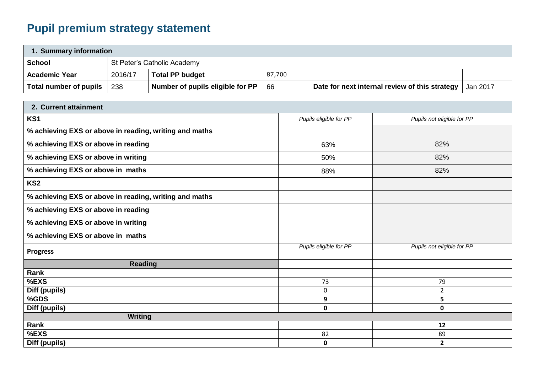## **Pupil premium strategy statement**

| 1. Summary information |         |                                  |        |                                                |          |  |
|------------------------|---------|----------------------------------|--------|------------------------------------------------|----------|--|
| <b>School</b>          |         | St Peter's Catholic Academy      |        |                                                |          |  |
| <b>Academic Year</b>   | 2016/17 | <b>Total PP budget</b>           | 87,700 |                                                |          |  |
| Total number of pupils | 238     | Number of pupils eligible for PP | 66     | Date for next internal review of this strategy | Jan 2017 |  |

| 2. Current attainment                                  |                        |                            |
|--------------------------------------------------------|------------------------|----------------------------|
| KS1                                                    | Pupils eligible for PP | Pupils not eligible for PP |
| % achieving EXS or above in reading, writing and maths |                        |                            |
| % achieving EXS or above in reading                    | 63%                    | 82%                        |
| % achieving EXS or above in writing                    | 50%                    | 82%                        |
| % achieving EXS or above in maths                      | 88%                    | 82%                        |
| KS <sub>2</sub>                                        |                        |                            |
| % achieving EXS or above in reading, writing and maths |                        |                            |
| % achieving EXS or above in reading                    |                        |                            |
| % achieving EXS or above in writing                    |                        |                            |
| % achieving EXS or above in maths                      |                        |                            |
| <b>Progress</b>                                        | Pupils eligible for PP | Pupils not eligible for PP |
| <b>Reading</b>                                         |                        |                            |
| Rank                                                   |                        |                            |
| %EXS                                                   | 73                     | 79                         |
| Diff (pupils)                                          | $\mathbf 0$            | $\overline{2}$             |
| %GDS                                                   | 9                      | 5                          |
| Diff (pupils)                                          | $\mathbf 0$            | 0                          |
| <b>Writing</b>                                         |                        |                            |
| Rank                                                   |                        | 12                         |
| %EXS                                                   | 82                     | 89                         |
| Diff (pupils)                                          | $\mathbf 0$            | $\mathbf{2}$               |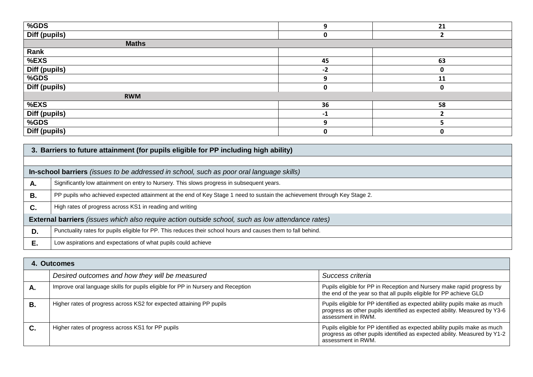| %GDS          | 9    | 21 |
|---------------|------|----|
| Diff (pupils) |      |    |
| <b>Maths</b>  |      |    |
| Rank          |      |    |
| $%$ EXS       | 45   | 63 |
| Diff (pupils) | $-2$ | 0  |
| $%$ GDS       |      | 11 |
| Diff (pupils) | 0    | 0  |
| <b>RWM</b>    |      |    |
| %EXS          | 36   | 58 |
| Diff (pupils) | $-1$ |    |
| %GDS          | q    |    |
| Diff (pupils) | U    | υ  |

|    | 3. Barriers to future attainment (for pupils eligible for PP including high ability)                                      |  |  |  |  |
|----|---------------------------------------------------------------------------------------------------------------------------|--|--|--|--|
|    |                                                                                                                           |  |  |  |  |
|    | In-school barriers (issues to be addressed in school, such as poor oral language skills)                                  |  |  |  |  |
| А. | Significantly low attainment on entry to Nursery. This slows progress in subsequent years.                                |  |  |  |  |
| Β. | PP pupils who achieved expected attainment at the end of Key Stage 1 need to sustain the achievement through Key Stage 2. |  |  |  |  |
| C. | High rates of progress across KS1 in reading and writing                                                                  |  |  |  |  |
|    | <b>External barriers</b> (issues which also require action outside school, such as low attendance rates)                  |  |  |  |  |
| D. | Punctuality rates for pupils eligible for PP. This reduces their school hours and causes them to fall behind.             |  |  |  |  |
| Е. | Low aspirations and expectations of what pupils could achieve                                                             |  |  |  |  |

|    | 4. Outcomes                                                                      |                                                                                                                                                                              |  |  |
|----|----------------------------------------------------------------------------------|------------------------------------------------------------------------------------------------------------------------------------------------------------------------------|--|--|
|    | Desired outcomes and how they will be measured                                   | Success criteria                                                                                                                                                             |  |  |
| А. | Improve oral language skills for pupils eligible for PP in Nursery and Reception | Pupils eligible for PP in Reception and Nursery make rapid progress by<br>the end of the year so that all pupils eligible for PP achieve GLD                                 |  |  |
| В. | Higher rates of progress across KS2 for expected attaining PP pupils             | Pupils eligible for PP identified as expected ability pupils make as much<br>progress as other pupils identified as expected ability. Measured by Y3-6<br>assessment in RWM. |  |  |
| C. | Higher rates of progress across KS1 for PP pupils                                | Pupils eligible for PP identified as expected ability pupils make as much<br>progress as other pupils identified as expected ability. Measured by Y1-2<br>assessment in RWM. |  |  |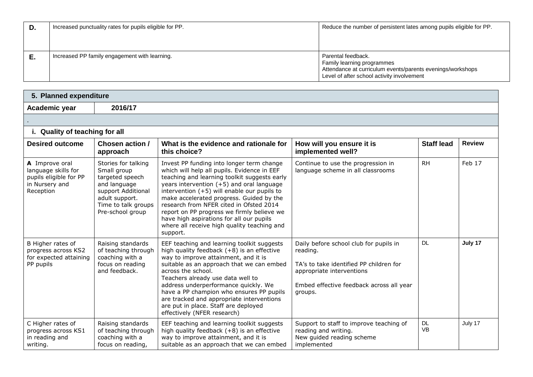| D. | Increased punctuality rates for pupils eligible for PP. | Reduce the number of persistent lates among pupils eligible for PP.                                                                                          |
|----|---------------------------------------------------------|--------------------------------------------------------------------------------------------------------------------------------------------------------------|
|    | Increased PP family engagement with learning.           | Parental feedback.<br>Family learning programmes<br>Attendance at curriculum events/parents evenings/workshops<br>Level of after school activity involvement |

| 5. Planned expenditure                                                                         |                                                                                                                                                          |                                                                                                                                                                                                                                                                                                                                                                                                                                                                                    |                                                                                                                                                                                   |                        |               |  |
|------------------------------------------------------------------------------------------------|----------------------------------------------------------------------------------------------------------------------------------------------------------|------------------------------------------------------------------------------------------------------------------------------------------------------------------------------------------------------------------------------------------------------------------------------------------------------------------------------------------------------------------------------------------------------------------------------------------------------------------------------------|-----------------------------------------------------------------------------------------------------------------------------------------------------------------------------------|------------------------|---------------|--|
| Academic year                                                                                  | 2016/17                                                                                                                                                  |                                                                                                                                                                                                                                                                                                                                                                                                                                                                                    |                                                                                                                                                                                   |                        |               |  |
|                                                                                                |                                                                                                                                                          |                                                                                                                                                                                                                                                                                                                                                                                                                                                                                    |                                                                                                                                                                                   |                        |               |  |
| i. Quality of teaching for all                                                                 |                                                                                                                                                          |                                                                                                                                                                                                                                                                                                                                                                                                                                                                                    |                                                                                                                                                                                   |                        |               |  |
| <b>Desired outcome</b>                                                                         | Chosen action /<br>approach                                                                                                                              | What is the evidence and rationale for<br>this choice?                                                                                                                                                                                                                                                                                                                                                                                                                             | How will you ensure it is<br>implemented well?                                                                                                                                    | <b>Staff lead</b>      | <b>Review</b> |  |
| A Improve oral<br>language skills for<br>pupils eligible for PP<br>in Nursery and<br>Reception | Stories for talking<br>Small group<br>targeted speech<br>and language<br>support Additional<br>adult support.<br>Time to talk groups<br>Pre-school group | Invest PP funding into longer term change<br>which will help all pupils. Evidence in EEF<br>teaching and learning toolkit suggests early<br>years intervention (+5) and oral language<br>intervention $(+5)$ will enable our pupils to<br>make accelerated progress. Guided by the<br>research from NFER cited in Ofsted 2014<br>report on PP progress we firmly believe we<br>have high aspirations for all our pupils<br>where all receive high quality teaching and<br>support. | Continue to use the progression in<br>language scheme in all classrooms                                                                                                           | <b>RH</b>              | Feb 17        |  |
| B Higher rates of<br>progress across KS2<br>for expected attaining<br>PP pupils                | Raising standards<br>of teaching through<br>coaching with a<br>focus on reading<br>and feedback.                                                         | EEF teaching and learning toolkit suggests<br>high quality feedback $(+8)$ is an effective<br>way to improve attainment, and it is<br>suitable as an approach that we can embed<br>across the school.<br>Teachers already use data well to<br>address underperformance quickly. We<br>have a PP champion who ensures PP pupils<br>are tracked and appropriate interventions<br>are put in place. Staff are deployed<br>effectively (NFER research)                                 | Daily before school club for pupils in<br>reading.<br>TA's to take identified PP children for<br>appropriate interventions<br>Embed effective feedback across all year<br>groups. | <b>DL</b>              | July 17       |  |
| C Higher rates of<br>progress across KS1<br>in reading and<br>writing.                         | Raising standards<br>of teaching through<br>coaching with a<br>focus on reading,                                                                         | EEF teaching and learning toolkit suggests<br>high quality feedback $(+8)$ is an effective<br>way to improve attainment, and it is<br>suitable as an approach that we can embed                                                                                                                                                                                                                                                                                                    | Support to staff to improve teaching of<br>reading and writing.<br>New guided reading scheme<br>implemented                                                                       | <b>DL</b><br><b>VB</b> | July 17       |  |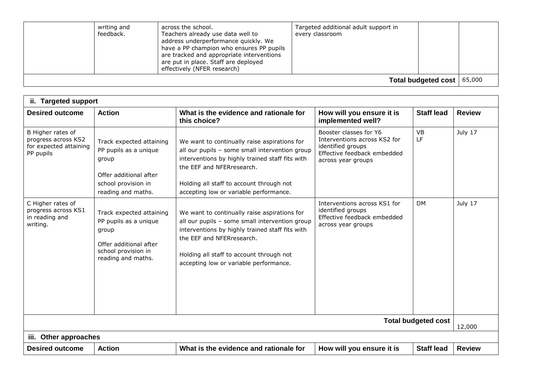| writing and<br>feedback. | across the school.<br>Teachers already use data well to<br>address underperformance quickly. We<br>have a PP champion who ensures PP pupils<br>are tracked and appropriate interventions<br>are put in place. Staff are deployed<br>effectively (NFER research) | Targeted additional adult support in<br>every classroom |                              |  |
|--------------------------|-----------------------------------------------------------------------------------------------------------------------------------------------------------------------------------------------------------------------------------------------------------------|---------------------------------------------------------|------------------------------|--|
|                          |                                                                                                                                                                                                                                                                 |                                                         | Total budgeted cost   65,000 |  |

| ii. Targeted support                                                            |                                                                                                                                   |                                                                                                                                                                                                                                                                      |                                                                                                                                  |                   |               |  |
|---------------------------------------------------------------------------------|-----------------------------------------------------------------------------------------------------------------------------------|----------------------------------------------------------------------------------------------------------------------------------------------------------------------------------------------------------------------------------------------------------------------|----------------------------------------------------------------------------------------------------------------------------------|-------------------|---------------|--|
| <b>Desired outcome</b>                                                          | <b>Action</b>                                                                                                                     | What is the evidence and rationale for<br>this choice?                                                                                                                                                                                                               | How will you ensure it is<br>implemented well?                                                                                   | <b>Staff lead</b> | <b>Review</b> |  |
| B Higher rates of<br>progress across KS2<br>for expected attaining<br>PP pupils | Track expected attaining<br>PP pupils as a unique<br>group<br>Offer additional after<br>school provision in<br>reading and maths. | We want to continually raise aspirations for<br>all our pupils - some small intervention group<br>interventions by highly trained staff fits with<br>the EEF and NFERresearch.<br>Holding all staff to account through not<br>accepting low or variable performance. | Booster classes for Y6<br>Interventions across KS2 for<br>identified groups<br>Effective feedback embedded<br>across year groups | <b>VB</b><br>LF   | July 17       |  |
| C Higher rates of<br>progress across KS1<br>in reading and<br>writing.          | Track expected attaining<br>PP pupils as a unique<br>group<br>Offer additional after<br>school provision in<br>reading and maths. | We want to continually raise aspirations for<br>all our pupils - some small intervention group<br>interventions by highly trained staff fits with<br>the EEF and NFERresearch.<br>Holding all staff to account through not<br>accepting low or variable performance. | Interventions across KS1 for<br>identified groups<br>Effective feedback embedded<br>across year groups                           | <b>DM</b>         | July 17       |  |
| <b>Total budgeted cost</b>                                                      |                                                                                                                                   |                                                                                                                                                                                                                                                                      |                                                                                                                                  |                   | 12,000        |  |
| iii. Other approaches                                                           |                                                                                                                                   |                                                                                                                                                                                                                                                                      |                                                                                                                                  |                   |               |  |
| <b>Desired outcome</b>                                                          | <b>Action</b>                                                                                                                     | What is the evidence and rationale for                                                                                                                                                                                                                               | How will you ensure it is                                                                                                        | <b>Staff lead</b> | <b>Review</b> |  |